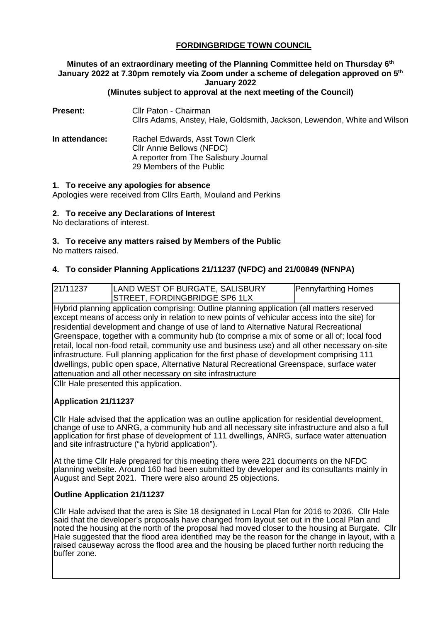# **FORDINGBRIDGE TOWN COUNCIL**

# **Minutes of an extraordinary meeting of the Planning Committee held on Thursday 6th January 2022 at 7.30pm remotely via Zoom under a scheme of delegation approved on 5th January 2022**

## **(Minutes subject to approval at the next meeting of the Council)**

**Present:** Cllr Paton - Chairman Cllrs Adams, Anstey, Hale, Goldsmith, Jackson, Lewendon, White and Wilson

**In attendance:** Rachel Edwards, Asst Town Clerk Cllr Annie Bellows (NFDC) A reporter from The Salisbury Journal 29 Members of the Public

#### **1. To receive any apologies for absence**

Apologies were received from Cllrs Earth, Mouland and Perkins

#### **2. To receive any Declarations of Interest**

No declarations of interest.

## **3. To receive any matters raised by Members of the Public**

No matters raised.

## **4. To consider Planning Applications 21/11237 (NFDC) and 21/00849 (NFNPA)**

| 21/11237                                                                                                                                                                                                                                                                                                                                                                                                                                                                                                                                                                                                                                                                                                                                     | LAND WEST OF BURGATE, SALISBURY       | <b>Pennyfarthing Homes</b> |  |
|----------------------------------------------------------------------------------------------------------------------------------------------------------------------------------------------------------------------------------------------------------------------------------------------------------------------------------------------------------------------------------------------------------------------------------------------------------------------------------------------------------------------------------------------------------------------------------------------------------------------------------------------------------------------------------------------------------------------------------------------|---------------------------------------|----------------------------|--|
|                                                                                                                                                                                                                                                                                                                                                                                                                                                                                                                                                                                                                                                                                                                                              | STREET, FORDINGBRIDGE SP6 1LX         |                            |  |
| Hybrid planning application comprising: Outline planning application (all matters reserved<br>except means of access only in relation to new points of vehicular access into the site) for<br>residential development and change of use of land to Alternative Natural Recreational<br>Greenspace, together with a community hub (to comprise a mix of some or all of; local food<br>retail, local non-food retail, community use and business use) and all other necessary on-site<br>infrastructure. Full planning application for the first phase of development comprising 111<br>dwellings, public open space, Alternative Natural Recreational Greenspace, surface water<br>attenuation and all other necessary on site infrastructure |                                       |                            |  |
|                                                                                                                                                                                                                                                                                                                                                                                                                                                                                                                                                                                                                                                                                                                                              | Cllr Hale presented this application. |                            |  |

## **Application 21/11237**

Cllr Hale advised that the application was an outline application for residential development, change of use to ANRG, a community hub and all necessary site infrastructure and also a full application for first phase of development of 111 dwellings, ANRG, surface water attenuation and site infrastructure ("a hybrid application").

At the time Cllr Hale prepared for this meeting there were 221 documents on the NFDC planning website. Around 160 had been submitted by developer and its consultants mainly in August and Sept 2021. There were also around 25 objections.

## **Outline Application 21/11237**

Cllr Hale advised that the area is Site 18 designated in Local Plan for 2016 to 2036. Cllr Hale said that the developer's proposals have changed from layout set out in the Local Plan and noted the housing at the north of the proposal had moved closer to the housing at Burgate. Cllr Hale suggested that the flood area identified may be the reason for the change in layout, with a raised causeway across the flood area and the housing be placed further north reducing the buffer zone.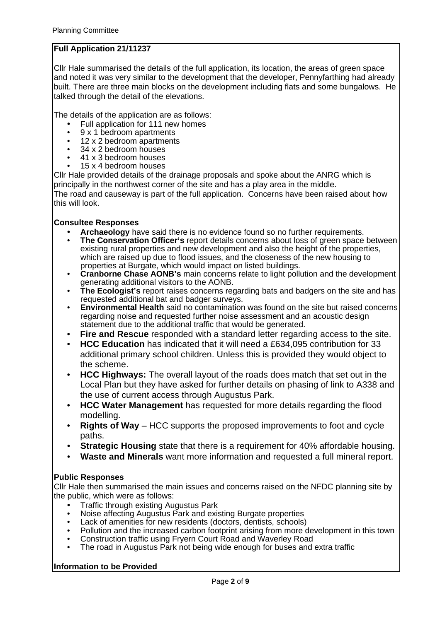# **Full Application 21/11237**

Cllr Hale summarised the details of the full application, its location, the areas of green space and noted it was very similar to the development that the developer, Pennyfarthing had already built. There are three main blocks on the development including flats and some bungalows. He talked through the detail of the elevations.

The details of the application are as follows:

- Full application for 111 new homes
- 9 x 1 bedroom apartments<br>• 12 x 2 bedroom apartments
- 12 x 2 bedroom apartments<br>• 34 x 2 bedroom houses
- 34 x 2 bedroom houses
- 41 x 3 bedroom houses
- 15 x 4 bedroom houses

Cllr Hale provided details of the drainage proposals and spoke about the ANRG which is principally in the northwest corner of the site and has a play area in the middle.

The road and causeway is part of the full application. Concerns have been raised about how this will look.

#### **Consultee Responses**

- **Archaeology** have said there is no evidence found so no further requirements.
- **The Conservation Officer's** report details concerns about loss of green space between existing rural properties and new development and also the height of the properties, which are raised up due to flood issues, and the closeness of the new housing to properties at Burgate, which would impact on listed buildings.
- **Cranborne Chase AONB's** main concerns relate to light pollution and the development generating additional visitors to the AONB.
- **The Ecologist's** report raises concerns regarding bats and badgers on the site and has requested additional bat and badger surveys.
- **Environmental Health** said no contamination was found on the site but raised concerns regarding noise and requested further noise assessment and an acoustic design statement due to the additional traffic that would be generated.
- **Fire and Rescue** responded with a standard letter regarding access to the site.
- **HCC Education** has indicated that it will need a £634,095 contribution for 33 additional primary school children. Unless this is provided they would object to the scheme.
- **HCC Highways:** The overall layout of the roads does match that set out in the Local Plan but they have asked for further details on phasing of link to A338 and the use of current access through Augustus Park.
- **HCC Water Management** has requested for more details regarding the flood modelling.
- **Rights of Way** HCC supports the proposed improvements to foot and cycle paths.
- **Strategic Housing** state that there is a requirement for 40% affordable housing.
- **Waste and Minerals** want more information and requested a full mineral report.

## **Public Responses**

Cllr Hale then summarised the main issues and concerns raised on the NFDC planning site by the public, which were as follows:

- Traffic through existing Augustus Park
- Noise affecting Augustus Park and existing Burgate properties<br>• Lack of amenities for new residents (doctors, dentists, schools)
- Lack of amenities for new residents (doctors, dentists, schools)
- Pollution and the increased carbon footprint arising from more development in this town
- Construction traffic using Fryern Court Road and Waverley Road<br>• The road in Augustus Bark not being wide enough for buses and
- The road in Augustus Park not being wide enough for buses and extra traffic

## **Information to be Provided**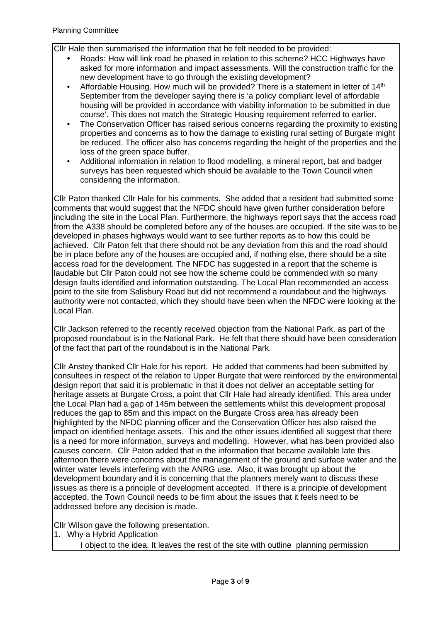Cllr Hale then summarised the information that he felt needed to be provided:

- Roads: How will link road be phased in relation to this scheme? HCC Highways have asked for more information and impact assessments. Will the construction traffic for the new development have to go through the existing development?
- Affordable Housing. How much will be provided? There is a statement in letter of  $14<sup>th</sup>$ September from the developer saying there is 'a policy compliant level of affordable housing will be provided in accordance with viability information to be submitted in due course'. This does not match the Strategic Housing requirement referred to earlier.
- The Conservation Officer has raised serious concerns regarding the proximity to existing properties and concerns as to how the damage to existing rural setting of Burgate might be reduced. The officer also has concerns regarding the height of the properties and the loss of the green space buffer.
- Additional information in relation to flood modelling, a mineral report, bat and badger surveys has been requested which should be available to the Town Council when considering the information.

Cllr Paton thanked Cllr Hale for his comments. She added that a resident had submitted some comments that would suggest that the NFDC should have given further consideration before including the site in the Local Plan. Furthermore, the highways report says that the access road from the A338 should be completed before any of the houses are occupied. If the site was to be developed in phases highways would want to see further reports as to how this could be achieved. Cllr Paton felt that there should not be any deviation from this and the road should be in place before any of the houses are occupied and, if nothing else, there should be a site access road for the development. The NFDC has suggested in a report that the scheme is laudable but Cllr Paton could not see how the scheme could be commended with so many design faults identified and information outstanding. The Local Plan recommended an access point to the site from Salisbury Road but did not recommend a roundabout and the highways authority were not contacted, which they should have been when the NFDC were looking at the Local Plan.

Cllr Jackson referred to the recently received objection from the National Park, as part of the proposed roundabout is in the National Park. He felt that there should have been consideration of the fact that part of the roundabout is in the National Park.

Cllr Anstey thanked Cllr Hale for his report. He added that comments had been submitted by consultees in respect of the relation to Upper Burgate that were reinforced by the environmental design report that said it is problematic in that it does not deliver an acceptable setting for heritage assets at Burgate Cross, a point that Cllr Hale had already identified. This area under the Local Plan had a gap of 145m between the settlements whilst this development proposal reduces the gap to 85m and this impact on the Burgate Cross area has already been highlighted by the NFDC planning officer and the Conservation Officer has also raised the impact on identified heritage assets. This and the other issues identified all suggest that there is a need for more information, surveys and modelling. However, what has been provided also causes concern. Cllr Paton added that in the information that became available late this afternoon there were concerns about the management of the ground and surface water and the winter water levels interfering with the ANRG use. Also, it was brought up about the development boundary and it is concerning that the planners merely want to discuss these issues as there is a principle of development accepted. If there is a principle of development accepted, the Town Council needs to be firm about the issues that it feels need to be addressed before any decision is made.

Cllr Wilson gave the following presentation.

- 1. Why a Hybrid Application
	- I object to the idea. It leaves the rest of the site with outline planning permission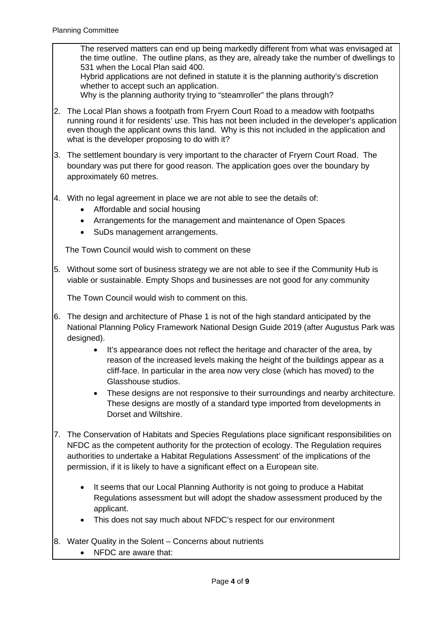The reserved matters can end up being markedly different from what was envisaged at the time outline. The outline plans, as they are, already take the number of dwellings to 531 when the Local Plan said 400.

Hybrid applications are not defined in statute it is the planning authority's discretion whether to accept such an application.

Why is the planning authority trying to "steamroller" the plans through?

- 2. The Local Plan shows a footpath from Fryern Court Road to a meadow with footpaths running round it for residents' use. This has not been included in the developer's application even though the applicant owns this land. Why is this not included in the application and what is the developer proposing to do with it?
- 3. The settlement boundary is very important to the character of Fryern Court Road. The boundary was put there for good reason. The application goes over the boundary by approximately 60 metres.
- 4. With no legal agreement in place we are not able to see the details of:
	- Affordable and social housing
	- Arrangements for the management and maintenance of Open Spaces
	- SuDs management arrangements.

The Town Council would wish to comment on these

5. Without some sort of business strategy we are not able to see if the Community Hub is viable or sustainable. Empty Shops and businesses are not good for any community

The Town Council would wish to comment on this.

- 6. The design and architecture of Phase 1 is not of the high standard anticipated by the National Planning Policy Framework National Design Guide 2019 (after Augustus Park was designed).
	- It's appearance does not reflect the heritage and character of the area, by reason of the increased levels making the height of the buildings appear as a cliff-face. In particular in the area now very close (which has moved) to the Glasshouse studios.
	- These designs are not responsive to their surroundings and nearby architecture. These designs are mostly of a standard type imported from developments in Dorset and Wiltshire.
- 7. The Conservation of Habitats and Species Regulations place significant responsibilities on NFDC as the competent authority for the protection of ecology. The Regulation requires authorities to undertake a Habitat Regulations Assessment' of the implications of the permission, if it is likely to have a significant effect on a European site.
	- It seems that our Local Planning Authority is not going to produce a Habitat Regulations assessment but will adopt the shadow assessment produced by the applicant.
	- This does not say much about NFDC's respect for our environment
- 8. Water Quality in the Solent Concerns about nutrients
	- NFDC are aware that: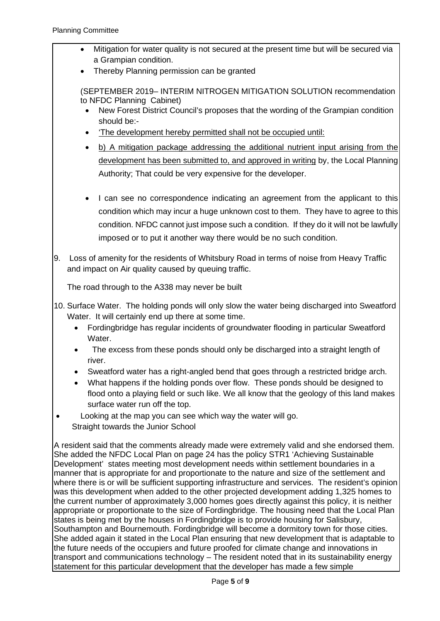- Mitigation for water quality is not secured at the present time but will be secured via a Grampian condition.
	- Thereby Planning permission can be granted

(SEPTEMBER 2019– INTERIM NITROGEN MITIGATION SOLUTION recommendation to NFDC Planning Cabinet)

- New Forest District Council's proposes that the wording of the Grampian condition should be:-
- 'The development hereby permitted shall not be occupied until:
- b) A mitigation package addressing the additional nutrient input arising from the development has been submitted to, and approved in writing by, the Local Planning Authority; That could be very expensive for the developer.
- I can see no correspondence indicating an agreement from the applicant to this condition which may incur a huge unknown cost to them. They have to agree to this condition. NFDC cannot just impose such a condition. If they do it will not be lawfully imposed or to put it another way there would be no such condition.
- 9. Loss of amenity for the residents of Whitsbury Road in terms of noise from Heavy Traffic and impact on Air quality caused by queuing traffic.

The road through to the A338 may never be built

- 10. Surface Water. The holding ponds will only slow the water being discharged into Sweatford Water. It will certainly end up there at some time.
	- Fordingbridge has regular incidents of groundwater flooding in particular Sweatford Water.
	- The excess from these ponds should only be discharged into a straight length of river.
	- Sweatford water has a right-angled bend that goes through a restricted bridge arch.
	- What happens if the holding ponds over flow. These ponds should be designed to flood onto a playing field or such like. We all know that the geology of this land makes surface water run off the top.
- Looking at the map you can see which way the water will go. Straight towards the Junior School

A resident said that the comments already made were extremely valid and she endorsed them. She added the NFDC Local Plan on page 24 has the policy STR1 'Achieving Sustainable Development' states meeting most development needs within settlement boundaries in a manner that is appropriate for and proportionate to the nature and size of the settlement and where there is or will be sufficient supporting infrastructure and services. The resident's opinion was this development when added to the other projected development adding 1,325 homes to the current number of approximately 3,000 homes goes directly against this policy, it is neither appropriate or proportionate to the size of Fordingbridge. The housing need that the Local Plan states is being met by the houses in Fordingbridge is to provide housing for Salisbury, Southampton and Bournemouth. Fordingbridge will become a dormitory town for those cities. She added again it stated in the Local Plan ensuring that new development that is adaptable to the future needs of the occupiers and future proofed for climate change and innovations in transport and communications technology – The resident noted that in its sustainability energy statement for this particular development that the developer has made a few simple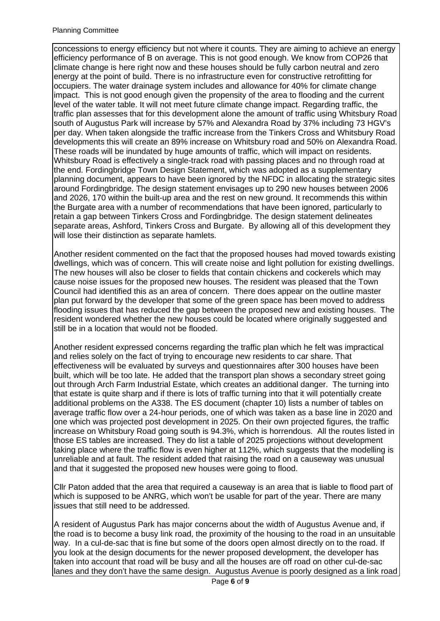#### Planning Committee

concessions to energy efficiency but not where it counts. They are aiming to achieve an energy efficiency performance of B on average. This is not good enough. We know from COP26 that climate change is here right now and these houses should be fully carbon neutral and zero energy at the point of build. There is no infrastructure even for constructive retrofitting for occupiers. The water drainage system includes and allowance for 40% for climate change impact. This is not good enough given the propensity of the area to flooding and the current level of the water table. It will not meet future climate change impact. Regarding traffic, the traffic plan assesses that for this development alone the amount of traffic using Whitsbury Road south of Augustus Park will increase by 57% and Alexandra Road by 37% including 73 HGV's per day. When taken alongside the traffic increase from the Tinkers Cross and Whitsbury Road developments this will create an 89% increase on Whitsbury road and 50% on Alexandra Road. These roads will be inundated by huge amounts of traffic, which will impact on residents. Whitsbury Road is effectively a single-track road with passing places and no through road at the end. Fordingbridge Town Design Statement, which was adopted as a supplementary planning document, appears to have been ignored by the NFDC in allocating the strategic sites around Fordingbridge. The design statement envisages up to 290 new houses between 2006 and 2026, 170 within the built-up area and the rest on new ground. It recommends this within the Burgate area with a number of recommendations that have been ignored, particularly to retain a gap between Tinkers Cross and Fordingbridge. The design statement delineates separate areas, Ashford, Tinkers Cross and Burgate. By allowing all of this development they will lose their distinction as separate hamlets.

Another resident commented on the fact that the proposed houses had moved towards existing dwellings, which was of concern. This will create noise and light pollution for existing dwellings. The new houses will also be closer to fields that contain chickens and cockerels which may cause noise issues for the proposed new houses. The resident was pleased that the Town Council had identified this as an area of concern. There does appear on the outline master plan put forward by the developer that some of the green space has been moved to address flooding issues that has reduced the gap between the proposed new and existing houses. The resident wondered whether the new houses could be located where originally suggested and still be in a location that would not be flooded.

Another resident expressed concerns regarding the traffic plan which he felt was impractical and relies solely on the fact of trying to encourage new residents to car share. That effectiveness will be evaluated by surveys and questionnaires after 300 houses have been built, which will be too late. He added that the transport plan shows a secondary street going out through Arch Farm Industrial Estate, which creates an additional danger. The turning into that estate is quite sharp and if there is lots of traffic turning into that it will potentially create additional problems on the A338. The ES document (chapter 10) lists a number of tables on average traffic flow over a 24-hour periods, one of which was taken as a base line in 2020 and one which was projected post development in 2025. On their own projected figures, the traffic increase on Whitsbury Road going south is 94.3%, which is horrendous. All the routes listed in those ES tables are increased. They do list a table of 2025 projections without development taking place where the traffic flow is even higher at 112%, which suggests that the modelling is unreliable and at fault. The resident added that raising the road on a causeway was unusual and that it suggested the proposed new houses were going to flood.

Cllr Paton added that the area that required a causeway is an area that is liable to flood part of which is supposed to be ANRG, which won't be usable for part of the year. There are many issues that still need to be addressed.

A resident of Augustus Park has major concerns about the width of Augustus Avenue and, if the road is to become a busy link road, the proximity of the housing to the road in an unsuitable way. In a cul-de-sac that is fine but some of the doors open almost directly on to the road. If you look at the design documents for the newer proposed development, the developer has taken into account that road will be busy and all the houses are off road on other cul-de-sac lanes and they don't have the same design. Augustus Avenue is poorly designed as a link road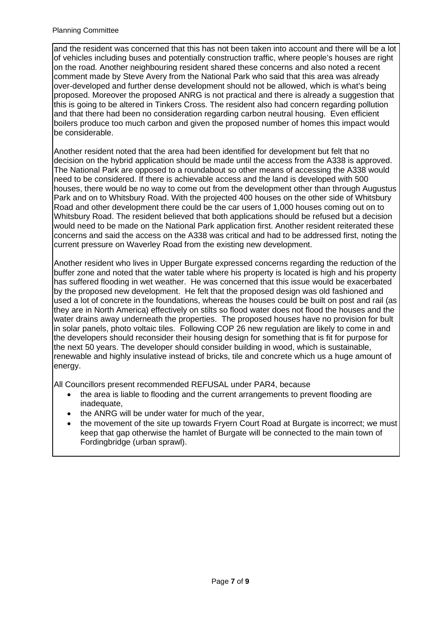and the resident was concerned that this has not been taken into account and there will be a lot of vehicles including buses and potentially construction traffic, where people's houses are right on the road. Another neighbouring resident shared these concerns and also noted a recent comment made by Steve Avery from the National Park who said that this area was already over-developed and further dense development should not be allowed, which is what's being proposed. Moreover the proposed ANRG is not practical and there is already a suggestion that this is going to be altered in Tinkers Cross. The resident also had concern regarding pollution and that there had been no consideration regarding carbon neutral housing. Even efficient boilers produce too much carbon and given the proposed number of homes this impact would be considerable.

Another resident noted that the area had been identified for development but felt that no decision on the hybrid application should be made until the access from the A338 is approved. The National Park are opposed to a roundabout so other means of accessing the A338 would need to be considered. If there is achievable access and the land is developed with 500 houses, there would be no way to come out from the development other than through Augustus Park and on to Whitsbury Road. With the projected 400 houses on the other side of Whitsbury Road and other development there could be the car users of 1,000 houses coming out on to Whitsbury Road. The resident believed that both applications should be refused but a decision would need to be made on the National Park application first. Another resident reiterated these concerns and said the access on the A338 was critical and had to be addressed first, noting the current pressure on Waverley Road from the existing new development.

Another resident who lives in Upper Burgate expressed concerns regarding the reduction of the buffer zone and noted that the water table where his property is located is high and his property has suffered flooding in wet weather. He was concerned that this issue would be exacerbated by the proposed new development. He felt that the proposed design was old fashioned and used a lot of concrete in the foundations, whereas the houses could be built on post and rail (as they are in North America) effectively on stilts so flood water does not flood the houses and the water drains away underneath the properties. The proposed houses have no provision for bult in solar panels, photo voltaic tiles. Following COP 26 new regulation are likely to come in and the developers should reconsider their housing design for something that is fit for purpose for the next 50 years. The developer should consider building in wood, which is sustainable, renewable and highly insulative instead of bricks, tile and concrete which us a huge amount of energy.

All Councillors present recommended REFUSAL under PAR4, because

- the area is liable to flooding and the current arrangements to prevent flooding are inadequate,
- the ANRG will be under water for much of the year,
- the movement of the site up towards Fryern Court Road at Burgate is incorrect; we must keep that gap otherwise the hamlet of Burgate will be connected to the main town of Fordingbridge (urban sprawl).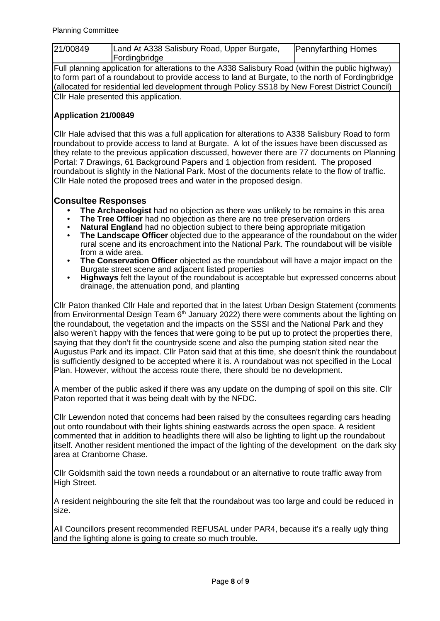| 21/00849 | Land At A338 Salisbury Road, Upper Burgate,<br>Fordingbridge | <b>Pennyfarthing Homes</b> |
|----------|--------------------------------------------------------------|----------------------------|
|          |                                                              |                            |

Full planning application for alterations to the A338 Salisbury Road (within the public highway) to form part of a roundabout to provide access to land at Burgate, to the north of Fordingbridge (allocated for residential led development through Policy SS18 by New Forest District Council) Cllr Hale presented this application.

## **Application 21/00849**

Cllr Hale advised that this was a full application for alterations to A338 Salisbury Road to form roundabout to provide access to land at Burgate. A lot of the issues have been discussed as they relate to the previous application discussed, however there are 77 documents on Planning Portal: 7 Drawings, 61 Background Papers and 1 objection from resident. The proposed roundabout is slightly in the National Park. Most of the documents relate to the flow of traffic. Cllr Hale noted the proposed trees and water in the proposed design.

# **Consultee Responses**

- **The Archaeologist** had no objection as there was unlikely to be remains in this area
- **The Tree Officer** had no objection as there are no tree preservation orders
- **Natural England** had no objection subject to there being appropriate mitigation
- **The Landscape Officer** objected due to the appearance of the roundabout on the wider rural scene and its encroachment into the National Park. The roundabout will be visible from a wide area.
- **The Conservation Officer** objected as the roundabout will have a major impact on the Burgate street scene and adjacent listed properties
- **Highways** felt the layout of the roundabout is acceptable but expressed concerns about drainage, the attenuation pond, and planting

Cllr Paton thanked Cllr Hale and reported that in the latest Urban Design Statement (comments from Environmental Design Team  $6<sup>th</sup>$  January 2022) there were comments about the lighting on the roundabout, the vegetation and the impacts on the SSSI and the National Park and they also weren't happy with the fences that were going to be put up to protect the properties there, saying that they don't fit the countryside scene and also the pumping station sited near the Augustus Park and its impact. Cllr Paton said that at this time, she doesn't think the roundabout is sufficiently designed to be accepted where it is. A roundabout was not specified in the Local Plan. However, without the access route there, there should be no development.

A member of the public asked if there was any update on the dumping of spoil on this site. Cllr Paton reported that it was being dealt with by the NFDC.

Cllr Lewendon noted that concerns had been raised by the consultees regarding cars heading out onto roundabout with their lights shining eastwards across the open space. A resident commented that in addition to headlights there will also be lighting to light up the roundabout itself. Another resident mentioned the impact of the lighting of the development on the dark sky area at Cranborne Chase.

Cllr Goldsmith said the town needs a roundabout or an alternative to route traffic away from High Street.

A resident neighbouring the site felt that the roundabout was too large and could be reduced in size.

All Councillors present recommended REFUSAL under PAR4, because it's a really ugly thing and the lighting alone is going to create so much trouble.